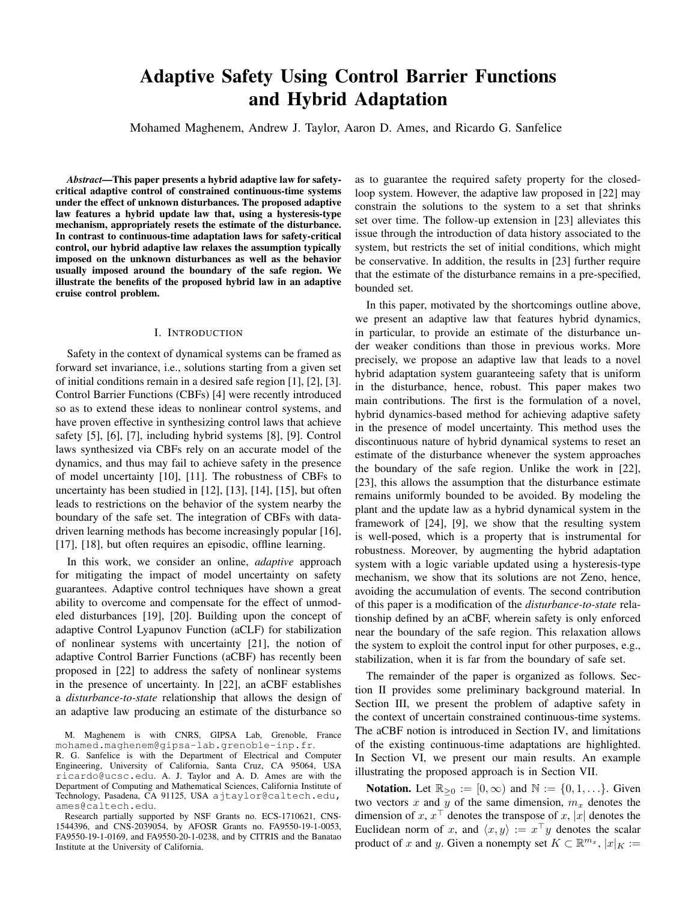# **Adaptive Safety Using Control Barrier Functions** and Hybrid Adaptation

Mohamed Maghenem, Andrew J. Taylor, Aaron D. Ames, and Ricardo G. Sanfelice

Abstract—This paper presents a hybrid adaptive law for safetycritical adaptive control of constrained continuous-time systems under the effect of unknown disturbances. The proposed adaptive law features a hybrid update law that, using a hysteresis-type mechanism, appropriately resets the estimate of the disturbance. In contrast to continuous-time adaptation laws for safety-critical control, our hybrid adaptive law relaxes the assumption typically imposed on the unknown disturbances as well as the behavior usually imposed around the boundary of the safe region. We illustrate the benefits of the proposed hybrid law in an adaptive cruise control problem.

#### I. INTRODUCTION

Safety in the context of dynamical systems can be framed as forward set invariance, i.e., solutions starting from a given set of initial conditions remain in a desired safe region  $[1]$ ,  $[2]$ ,  $[3]$ . Control Barrier Functions (CBFs) [4] were recently introduced so as to extend these ideas to nonlinear control systems, and have proven effective in synthesizing control laws that achieve safety [5], [6], [7], including hybrid systems [8], [9]. Control laws synthesized via CBFs rely on an accurate model of the dynamics, and thus may fail to achieve safety in the presence of model uncertainty [10], [11]. The robustness of CBFs to uncertainty has been studied in [12], [13], [14], [15], but often leads to restrictions on the behavior of the system nearby the boundary of the safe set. The integration of CBFs with datadriven learning methods has become increasingly popular [16], [17], [18], but often requires an episodic, offline learning.

In this work, we consider an online, *adaptive* approach for mitigating the impact of model uncertainty on safety guarantees. Adaptive control techniques have shown a great ability to overcome and compensate for the effect of unmodeled disturbances [19], [20]. Building upon the concept of adaptive Control Lyapunov Function (aCLF) for stabilization of nonlinear systems with uncertainty [21], the notion of adaptive Control Barrier Functions (aCBF) has recently been proposed in [22] to address the safety of nonlinear systems in the presence of uncertainty. In [22], an aCBF establishes a *disturbance-to-state* relationship that allows the design of an adaptive law producing an estimate of the disturbance so

Research partially supported by NSF Grants no. ECS-1710621, CNS-1544396, and CNS-2039054, by AFOSR Grants no. FA9550-19-1-0053, FA9550-19-1-0169, and FA9550-20-1-0238, and by CITRIS and the Banatao Institute at the University of California.

as to guarantee the required safety property for the closedloop system. However, the adaptive law proposed in [22] may constrain the solutions to the system to a set that shrinks set over time. The follow-up extension in [23] alleviates this issue through the introduction of data history associated to the system, but restricts the set of initial conditions, which might be conservative. In addition, the results in [23] further require that the estimate of the disturbance remains in a pre-specified, bounded set.

In this paper, motivated by the shortcomings outline above, we present an adaptive law that features hybrid dynamics, in particular, to provide an estimate of the disturbance under weaker conditions than those in previous works. More precisely, we propose an adaptive law that leads to a novel hybrid adaptation system guaranteeing safety that is uniform in the disturbance, hence, robust. This paper makes two main contributions. The first is the formulation of a novel, hybrid dynamics-based method for achieving adaptive safety in the presence of model uncertainty. This method uses the discontinuous nature of hybrid dynamical systems to reset an estimate of the disturbance whenever the system approaches the boundary of the safe region. Unlike the work in [22], [23], this allows the assumption that the disturbance estimate remains uniformly bounded to be avoided. By modeling the plant and the update law as a hybrid dynamical system in the framework of [24], [9], we show that the resulting system is well-posed, which is a property that is instrumental for robustness. Moreover, by augmenting the hybrid adaptation system with a logic variable updated using a hysteresis-type mechanism, we show that its solutions are not Zeno, hence, avoiding the accumulation of events. The second contribution of this paper is a modification of the *disturbance-to-state* relationship defined by an aCBF, wherein safety is only enforced near the boundary of the safe region. This relaxation allows the system to exploit the control input for other purposes, e.g., stabilization, when it is far from the boundary of safe set.

The remainder of the paper is organized as follows. Section II provides some preliminary background material. In Section III, we present the problem of adaptive safety in the context of uncertain constrained continuous-time systems. The aCBF notion is introduced in Section IV, and limitations of the existing continuous-time adaptations are highlighted. In Section VI, we present our main results. An example illustrating the proposed approach is in Section VII.

**Notation.** Let  $\mathbb{R}_{\geq 0} := [0, \infty)$  and  $\mathbb{N} := \{0, 1, \ldots\}$ . Given two vectors x and y of the same dimension,  $m_x$  denotes the dimension of x,  $x^{\top}$  denotes the transpose of x, |x| denotes the Euclidean norm of x, and  $\langle x, y \rangle := x^{\top}y$  denotes the scalar product of x and y. Given a nonempty set  $K \subset \mathbb{R}^{m_x}$ ,  $|x|_K :=$ 

M. Maghenem is with CNRS, GIPSA Lab, Grenoble, France mohamed.maghenem@gipsa-lab.grenoble-inp.fr.

R. G. Sanfelice is with the Department of Electrical and Computer Engineering, University of California, Santa Cruz, CA 95064, USA ricardo@ucsc.edu. A. J. Taylor and A. D. Ames are with the Department of Computing and Mathematical Sciences, California Institute of Technology, Pasadena, CA 91125, USA ajtaylor@caltech.edu, ames@caltech.edu.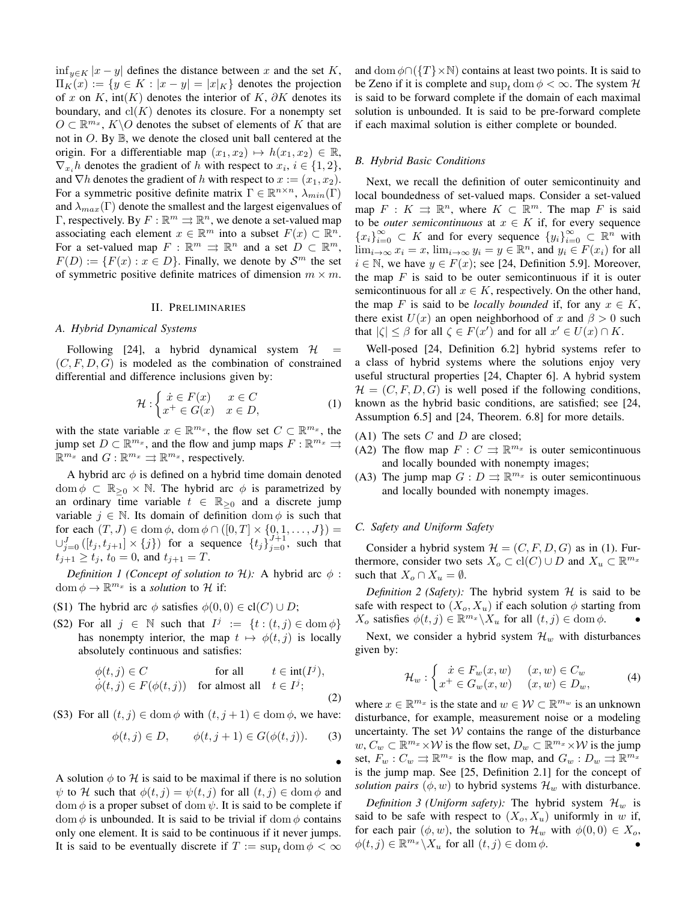$\inf_{y \in K} |x - y|$  defines the distance between x and the set K,  $\Pi_K(x) := \{ y \in K : |x - y| = |x|_K \}$  denotes the projection of x on K, int(K) denotes the interior of K,  $\partial K$  denotes its boundary, and  $\text{cl}(K)$  denotes its closure. For a nonempty set  $O \subset \mathbb{R}^{m_x}$ ,  $K \backslash O$  denotes the subset of elements of K that are not in  $O$ . By  $\mathbb{B}$ , we denote the closed unit ball centered at the origin. For a differentiable map  $(x_1, x_2) \mapsto h(x_1, x_2) \in \mathbb{R}$ ,  $\nabla_{x_i} h$  denotes the gradient of h with respect to  $x_i, i \in \{1, 2\},\$ and  $\nabla h$  denotes the gradient of h with respect to  $x := (x_1, x_2)$ . For a symmetric positive definite matrix  $\Gamma \in \mathbb{R}^{n \times n}$ ,  $\lambda_{min}(\Gamma)$ and  $\lambda_{max}(\Gamma)$  denote the smallest and the largest eigenvalues of  $\Gamma$ , respectively. By  $F : \mathbb{R}^m \rightrightarrows \mathbb{R}^n$ , we denote a set-valued map associating each element  $x \in \mathbb{R}^m$  into a subset  $F(x) \subset \mathbb{R}^n$ . For a set-valued map  $F : \mathbb{R}^m \rightrightarrows \mathbb{R}^n$  and a set  $D \subset \mathbb{R}^m$ ,  $F(D) := {F(x) : x \in D}$ . Finally, we denote by  $S<sup>m</sup>$  the set of symmetric positive definite matrices of dimension  $m \times m$ .

#### II. PRELIMINARIES

#### A. Hybrid Dynamical Systems

Following [24], a hybrid dynamical system  $H$  $\equiv$  $(C, F, D, G)$  is modeled as the combination of constrained differential and difference inclusions given by:

$$
\mathcal{H}: \begin{cases} \n\dot{x} \in F(x) & x \in C \\ \nx^+ \in G(x) & x \in D, \n\end{cases} \tag{1}
$$

with the state variable  $x \in \mathbb{R}^{m_x}$ , the flow set  $C \subset \mathbb{R}^{m_x}$ , the jump set  $D \subset \mathbb{R}^{m_x}$ , and the flow and jump maps  $F : \mathbb{R}^{m_x} \rightrightarrows$  $\mathbb{R}^{m_x}$  and  $G: \mathbb{R}^{m_x} \rightrightarrows \mathbb{R}^{m_x}$ , respectively.

A hybrid arc  $\phi$  is defined on a hybrid time domain denoted dom  $\phi \subset \mathbb{R}_{\geq 0} \times \mathbb{N}$ . The hybrid arc  $\phi$  is parametrized by an ordinary time variable  $t \in \mathbb{R}_{\geq 0}$  and a discrete jump variable  $j \in \mathbb{N}$ . Its domain of definition  $\text{dom } \phi$  is such that for each  $(T, J) \in \text{dom } \phi$ ,  $\text{dom } \phi \cap ([0, T] \times \{0, 1, \dots, J\}) =$  $\bigcup_{j=0}^{J}([t_j,t_{j+1}]\times\{j\})$  for a sequence  $\{t_j\}_{j=0}^{J+1}$ , such that  $t_{j+1} \ge t_j$ ,  $t_0 = 0$ , and  $t_{j+1} = T$ .

Definition 1 (Concept of solution to H): A hybrid arc  $\phi$ : dom  $\phi \to \mathbb{R}^{m_x}$  is a *solution* to H if:

- (S1) The hybrid arc  $\phi$  satisfies  $\phi(0,0) \in \text{cl}(C) \cup D$ ;
- (S2) For all  $j \in \mathbb{N}$  such that  $I^j := \{t : (t, j) \in \text{dom } \phi\}$ has nonempty interior, the map  $t \mapsto \phi(t, j)$  is locally absolutely continuous and satisfies:

$$
\begin{aligned}\n\phi(t,j) &\in C & \text{for all} & t \in \text{int}(I^j), \\
\dot{\phi}(t,j) &\in F(\phi(t,j)) & \text{for almost all} & t \in I^j;\n\end{aligned}
$$

(S3) For all  $(t, j) \in \text{dom } \phi$  with  $(t, j + 1) \in \text{dom } \phi$ , we have:

$$
\phi(t,j) \in D, \qquad \phi(t,j+1) \in G(\phi(t,j)). \tag{3}
$$

A solution  $\phi$  to H is said to be maximal if there is no solution  $\psi$  to H such that  $\phi(t, j) = \psi(t, j)$  for all  $(t, j) \in \text{dom } \phi$  and dom  $\phi$  is a proper subset of dom  $\psi$ . It is said to be complete if dom  $\phi$  is unbounded. It is said to be trivial if dom  $\phi$  contains only one element. It is said to be continuous if it never jumps. It is said to be eventually discrete if  $T := \sup_t \text{dom } \phi < \infty$  and dom  $\phi \cap (\{T\} \times \mathbb{N})$  contains at least two points. It is said to be Zeno if it is complete and sup, dom  $\phi < \infty$ . The system H is said to be forward complete if the domain of each maximal solution is unbounded. It is said to be pre-forward complete if each maximal solution is either complete or bounded.

# **B.** Hybrid Basic Conditions

Next, we recall the definition of outer semicontinuity and local boundedness of set-valued maps. Consider a set-valued map  $F: K \rightrightarrows \mathbb{R}^n$ , where  $K \subset \mathbb{R}^m$ . The map F is said to be *outer semicontinuous* at  $x \in K$  if, for every sequence  ${x_i}_{i=0}^{\infty} \subset K$  and for every sequence  ${y_i}_{i=0}^{\infty} \subset \mathbb{R}^n$  with  $\lim_{i\to\infty} x_i = x$ ,  $\lim_{i\to\infty} y_i = y \in \mathbb{R}^n$ , and  $y_i \in F(x_i)$  for all  $i \in \mathbb{N}$ , we have  $y \in F(x)$ ; see [24, Definition 5.9]. Moreover, the map  $F$  is said to be outer semicontinuous if it is outer semicontinuous for all  $x \in K$ , respectively. On the other hand, the map F is said to be *locally bounded* if, for any  $x \in K$ , there exist  $U(x)$  an open neighborhood of x and  $\beta > 0$  such that  $|\zeta| \leq \beta$  for all  $\zeta \in F(x')$  and for all  $x' \in U(x) \cap K$ .

Well-posed [24, Definition 6.2] hybrid systems refer to a class of hybrid systems where the solutions enjoy very useful structural properties [24, Chapter 6]. A hybrid system  $\mathcal{H} = (C, F, D, G)$  is well posed if the following conditions, known as the hybrid basic conditions, are satisfied; see [24, Assumption 6.5] and [24, Theorem. 6.8] for more details.

- $(A1)$  The sets C and D are closed;
- (A2) The flow map  $F: C \rightrightarrows \mathbb{R}^{m_x}$  is outer semicontinuous and locally bounded with nonempty images;
- (A3) The jump map  $G: D \rightrightarrows \mathbb{R}^{m_x}$  is outer semicontinuous and locally bounded with nonempty images.

# C. Safety and Uniform Safety

Consider a hybrid system  $\mathcal{H} = (C, F, D, G)$  as in (1). Furthermore, consider two sets  $X_o \subset \text{cl}(C) \cup D$  and  $X_u \subset \mathbb{R}^{m_x}$ such that  $X_o \cap X_u = \emptyset$ .

Definition 2 (Safety): The hybrid system  $H$  is said to be safe with respect to  $(X_o, X_u)$  if each solution  $\phi$  starting from  $X_o$  satisfies  $\phi(t, j) \in \mathbb{R}^{m_x} \backslash X_u$  for all  $(t, j) \in \text{dom } \phi$ .

Next, we consider a hybrid system  $\mathcal{H}_w$  with disturbances given by:

$$
\mathcal{H}_w : \begin{cases} \dot{x} \in F_w(x, w) & (x, w) \in C_w \\ x^+ \in G_w(x, w) & (x, w) \in D_w, \end{cases} \tag{4}
$$

where  $x \in \mathbb{R}^{m_x}$  is the state and  $w \in \mathcal{W} \subset \mathbb{R}^{m_w}$  is an unknown disturbance, for example, measurement noise or a modeling uncertainty. The set  $W$  contains the range of the disturbance  $w, C_w \subset \mathbb{R}^{m_x} \times \mathcal{W}$  is the flow set,  $D_w \subset \mathbb{R}^{m_x} \times \mathcal{W}$  is the jump set,  $F_w$ :  $C_w \rightrightarrows \mathbb{R}^{m_x}$  is the flow map, and  $G_w$ :  $D_w \rightrightarrows \mathbb{R}^{m_x}$ is the jump map. See  $[25,$  Definition 2.1] for the concept of solution pairs  $(\phi, w)$  to hybrid systems  $\mathcal{H}_w$  with disturbance.

Definition 3 (Uniform safety): The hybrid system  $\mathcal{H}_w$  is said to be safe with respect to  $(X_o, X_u)$  uniformly in w if, for each pair  $(\phi, w)$ , the solution to  $\mathcal{H}_w$  with  $\phi(0,0) \in X_o$ ,  $\phi(t,j) \in \mathbb{R}^{m_x} \backslash X_u$  for all  $(t,j) \in \text{dom } \phi$ .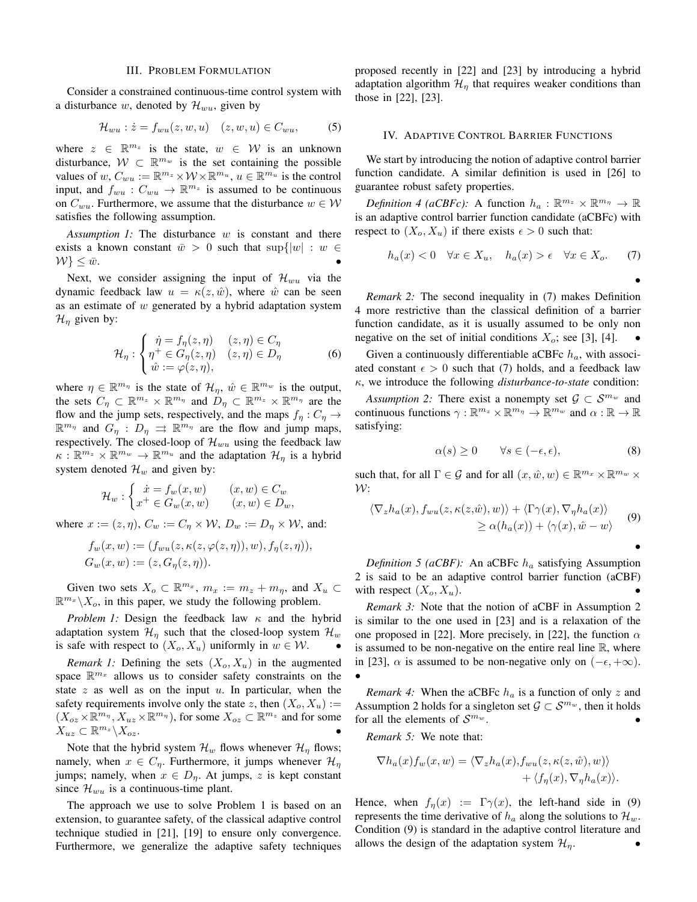#### **III. PROBLEM FORMULATION**

Consider a constrained continuous-time control system with a disturbance w, denoted by  $\mathcal{H}_{wu}$ , given by

$$
\mathcal{H}_{wu}: \dot{z} = f_{wu}(z, w, u) \quad (z, w, u) \in C_{wu}, \tag{5}
$$

where  $z \in \mathbb{R}^{m_z}$  is the state,  $w \in \mathcal{W}$  is an unknown disturbance,  $W \subset \mathbb{R}^{m_w}$  is the set containing the possible values of  $w, C_{wu} := \mathbb{R}^{m_z} \times \mathcal{W} \times \mathbb{R}^{m_u}, u \in \mathbb{R}^{m_u}$  is the control input, and  $f_{wu}: C_{wu} \to \mathbb{R}^{m_z}$  is assumed to be continuous on  $C_{wu}$ . Furthermore, we assume that the disturbance  $w \in W$ satisfies the following assumption.

Assumption 1: The disturbance  $w$  is constant and there exists a known constant  $\bar{w} > 0$  such that  $\sup\{|w| : w \in$  $W\}\leq \bar{w}.$ 

Next, we consider assigning the input of  $\mathcal{H}_{wu}$  via the dynamic feedback law  $u = \kappa(z, \hat{w})$ , where  $\hat{w}$  can be seen as an estimate of  $w$  generated by a hybrid adaptation system  $\mathcal{H}_{\eta}$  given by:

$$
\mathcal{H}_{\eta} : \begin{cases} \dot{\eta} = f_{\eta}(z, \eta) & (z, \eta) \in C_{\eta} \\ \eta^{+} \in G_{\eta}(z, \eta) & (z, \eta) \in D_{\eta} \\ \dot{\omega} := \varphi(z, \eta), \end{cases}
$$
 (6)

where  $\eta \in \mathbb{R}^{m_{\eta}}$  is the state of  $\mathcal{H}_{\eta}$ ,  $\hat{w} \in \mathbb{R}^{m_{w}}$  is the output, the sets  $C_n \subset \mathbb{R}^{m_z} \times \mathbb{R}^{m_{\eta}}$  and  $D_n \subset \mathbb{R}^{m_z} \times \mathbb{R}^{m_{\eta}}$  are the flow and the jump sets, respectively, and the maps  $f_n: C_n \to$  $\mathbb{R}^{m_{\eta}}$  and  $G_{\eta} : D_{\eta} \implies \mathbb{R}^{m_{\eta}}$  are the flow and jump maps, respectively. The closed-loop of  $\mathcal{H}_{wu}$  using the feedback law  $\kappa : \mathbb{R}^{m_z} \times \mathbb{R}^{m_w} \to \mathbb{R}^{m_u}$  and the adaptation  $\mathcal{H}_{\eta}$  is a hybrid system denoted  $\mathcal{H}_w$  and given by:

$$
\mathcal{H}_w : \begin{cases} \dot{x} = f_w(x, w) & (x, w) \in C_w \\ x^+ \in G_w(x, w) & (x, w) \in D_w \end{cases}
$$

where  $x := (z, \eta)$ ,  $C_w := C_\eta \times W$ ,  $D_w := D_\eta \times W$ , and:

 $\sim 10^{-11}$ 

$$
f_w(x, w) := (f_{wu}(z, \kappa(z, \varphi(z, \eta)), w), f_{\eta}(z, \eta)),
$$
  
\n
$$
G_w(x, w) := (z, G_{\eta}(z, \eta)).
$$

Given two sets  $X_o \subset \mathbb{R}^{m_x}$ ,  $m_x := m_z + m_\eta$ , and  $X_u \subset$  $\mathbb{R}^{m_x} \backslash X_o$ , in this paper, we study the following problem.

Problem 1: Design the feedback law  $\kappa$  and the hybrid adaptation system  $\mathcal{H}_{\eta}$  such that the closed-loop system  $\mathcal{H}_{w}$ is safe with respect to  $(X_o, X_u)$  uniformly in  $w \in \mathcal{W}$ .

*Remark 1:* Defining the sets  $(X_o, X_u)$  in the augmented space  $\mathbb{R}^{m_x}$  allows us to consider safety constraints on the state  $z$  as well as on the input  $u$ . In particular, when the safety requirements involve only the state z, then  $(X_o, X_u) :=$  $(X_{oz} \times \mathbb{R}^{m_{\eta}}, X_{uz} \times \mathbb{R}^{m_{\eta}})$ , for some  $X_{oz} \subset \mathbb{R}^{m_z}$  and for some  $X_{uz} \subset \mathbb{R}^{m_z} \backslash X_{oz}.$ 

Note that the hybrid system  $\mathcal{H}_w$  flows whenever  $\mathcal{H}_\eta$  flows; namely, when  $x \in C_{\eta}$ . Furthermore, it jumps whenever  $\mathcal{H}_{\eta}$ jumps; namely, when  $x \in D_{\eta}$ . At jumps, z is kept constant since  $\mathcal{H}_{wu}$  is a continuous-time plant.

The approach we use to solve Problem 1 is based on an extension, to guarantee safety, of the classical adaptive control technique studied in [21], [19] to ensure only convergence. Furthermore, we generalize the adaptive safety techniques

proposed recently in [22] and [23] by introducing a hybrid adaptation algorithm  $\mathcal{H}_{\eta}$  that requires weaker conditions than those in [22], [23].

#### IV. ADAPTIVE CONTROL BARRIER FUNCTIONS

We start by introducing the notion of adaptive control barrier function candidate. A similar definition is used in [26] to guarantee robust safety properties.

*Definition 4 (aCBFc)*: A function  $h_a : \mathbb{R}^{m_z} \times \mathbb{R}^{m_{\eta}} \to \mathbb{R}$ is an adaptive control barrier function candidate (aCBFc) with respect to  $(X_o, X_u)$  if there exists  $\epsilon > 0$  such that:

$$
h_a(x) < 0 \quad \forall x \in X_u, \quad h_a(x) > \epsilon \quad \forall x \in X_o. \tag{7}
$$

*Remark 2:* The second inequality in (7) makes Definition 4 more restrictive than the classical definition of a barrier function candidate, as it is usually assumed to be only non negative on the set of initial conditions  $X_o$ ; see [3], [4].

Given a continuously differentiable aCBFc  $h_a$ , with associated constant  $\epsilon > 0$  such that (7) holds, and a feedback law  $\kappa$ , we introduce the following *disturbance-to-state* condition:

Assumption 2: There exist a nonempty set  $\mathcal{G} \subset \mathcal{S}^{m_w}$  and continuous functions  $\gamma : \mathbb{R}^{m_z} \times \mathbb{R}^{m_{\eta}} \to \mathbb{R}^{m_w}$  and  $\alpha : \mathbb{R} \to \mathbb{R}$ satisfying:

$$
\alpha(s) \ge 0 \qquad \forall s \in (-\epsilon, \epsilon), \tag{8}
$$

such that, for all  $\Gamma \in \mathcal{G}$  and for all  $(x, \hat{w}, w) \in \mathbb{R}^{m_x} \times \mathbb{R}^{m_w} \times$  $\mathcal{W}$ :

$$
\langle \nabla_z h_a(x), f_{wu}(z, \kappa(z, \hat{w}), w) \rangle + \langle \Gamma \gamma(x), \nabla_{\eta} h_a(x) \rangle
$$
  
 
$$
\geq \alpha(h_a(x)) + \langle \gamma(x), \hat{w} - w \rangle
$$
 (9)

Definition 5 (aCBF): An aCBFc  $h_a$  satisfying Assumption 2 is said to be an adaptive control barrier function (aCBF) with respect  $(X_o, X_u)$ .

Remark 3: Note that the notion of aCBF in Assumption 2 is similar to the one used in [23] and is a relaxation of the one proposed in [22]. More precisely, in [22], the function  $\alpha$ is assumed to be non-negative on the entire real line  $\mathbb{R}$ , where in [23],  $\alpha$  is assumed to be non-negative only on  $(-\epsilon, +\infty)$ .

*Remark 4:* When the aCBFc  $h_a$  is a function of only z and Assumption 2 holds for a singleton set  $\mathcal{G} \subset \mathcal{S}^{m_w}$ , then it holds for all the elements of  $\mathcal{S}^{m_w}$ .

Remark 5: We note that:

$$
\nabla h_a(x) f_w(x, w) = \langle \nabla_z h_a(x), f_{wu}(z, \kappa(z, \hat{w}), w) \rangle + \langle f_n(x), \nabla_v h_a(x) \rangle.
$$

Hence, when  $f_{\eta}(x) := \Gamma \gamma(x)$ , the left-hand side in (9) represents the time derivative of  $h_a$  along the solutions to  $\mathcal{H}_w$ . Condition (9) is standard in the adaptive control literature and allows the design of the adaptation system  $\mathcal{H}_{\eta}$ .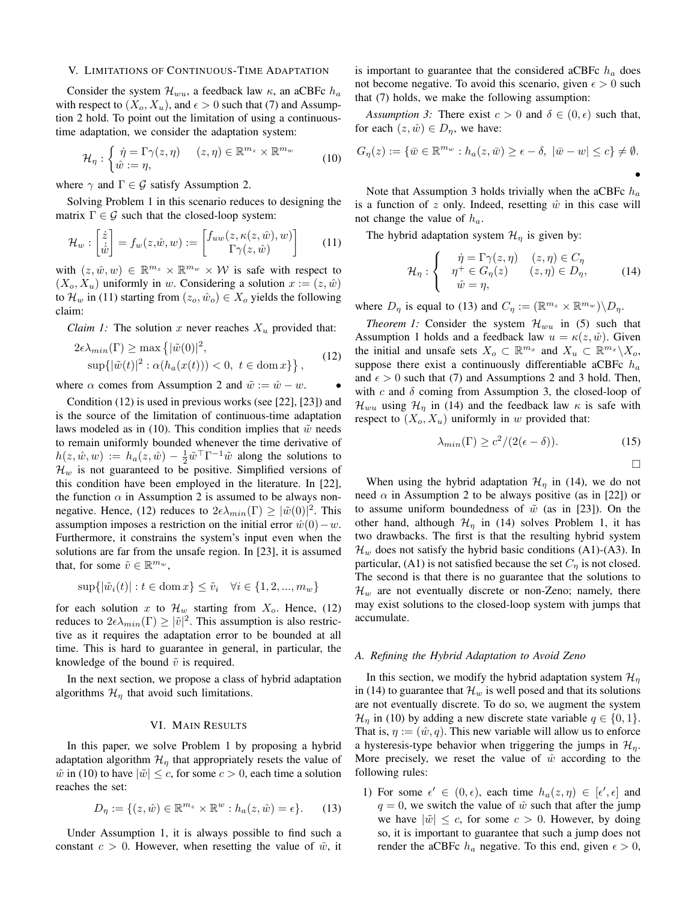#### V. LIMITATIONS OF CONTINUOUS-TIME ADAPTATION

Consider the system  $\mathcal{H}_{wu}$ , a feedback law  $\kappa$ , an aCBFc  $h_a$ with respect to  $(X_o, X_u)$ , and  $\epsilon > 0$  such that (7) and Assumption 2 hold. To point out the limitation of using a continuoustime adaptation, we consider the adaptation system:

$$
\mathcal{H}_{\eta}: \begin{cases} \dot{\eta} = \Gamma \gamma(z, \eta) & (z, \eta) \in \mathbb{R}^{m_z} \times \mathbb{R}^{m_w} \\ \hat{w} := \eta, \end{cases}
$$
 (10)

where  $\gamma$  and  $\Gamma \in \mathcal{G}$  satisfy Assumption 2.

Solving Problem 1 in this scenario reduces to designing the matrix  $\Gamma \in \mathcal{G}$  such that the closed-loop system:

$$
\mathcal{H}_w : \begin{bmatrix} \dot{z} \\ \dot{\hat{w}} \end{bmatrix} = f_w(z, \hat{w}, w) := \begin{bmatrix} f_{uw}(z, \kappa(z, \hat{w}), w) \\ \Gamma \gamma(z, \hat{w}) \end{bmatrix} \tag{11}
$$

with  $(z, \hat{w}, w) \in \mathbb{R}^{m_z} \times \mathbb{R}^{m_w} \times \mathcal{W}$  is safe with respect to  $(X_o, X_u)$  uniformly in w. Considering a solution  $x := (z, \hat{w})$ to  $\mathcal{H}_w$  in (11) starting from  $(z_o, \hat{w}_o) \in X_o$  yields the following claim:

*Claim 1:* The solution x never reaches  $X_u$  provided that:

$$
2\epsilon \lambda_{min}(\Gamma) \ge \max\left\{ |\tilde{w}(0)|^2, \sup\{ |\tilde{w}(t)|^2 : \alpha(h_a(x(t))) < 0, \ t \in \text{dom}\, x \} \right\},\tag{12}
$$

where  $\alpha$  comes from Assumption 2 and  $\tilde{w} := \hat{w} - w$ .

Condition  $(12)$  is used in previous works (see [22], [23]) and is the source of the limitation of continuous-time adaptation laws modeled as in (10). This condition implies that  $\tilde{w}$  needs to remain uniformly bounded whenever the time derivative of  $h(z, \hat{w}, w) := h_a(z, \hat{w}) - \frac{1}{2} \tilde{w}^\top \Gamma^{-1} \tilde{w}$  along the solutions to  $\mathcal{H}_w$  is not guaranteed to be positive. Simplified versions of this condition have been employed in the literature. In [22], the function  $\alpha$  in Assumption 2 is assumed to be always nonnegative. Hence, (12) reduces to  $2\epsilon\lambda_{min}(\Gamma) \geq |\tilde{w}(0)|^2$ . This assumption imposes a restriction on the initial error  $\hat{w}(0) - w$ . Furthermore, it constrains the system's input even when the solutions are far from the unsafe region. In [23], it is assumed that, for some  $\tilde{v} \in \mathbb{R}^{m_w}$ ,

$$
\sup\{|\tilde{w}_i(t)| : t \in \text{dom}\,x\} \le \tilde{v}_i \quad \forall i \in \{1, 2, ..., m_w\}
$$

for each solution x to  $\mathcal{H}_w$  starting from  $X_o$ . Hence, (12) reduces to  $2\epsilon\lambda_{min}(\Gamma) \geq |\tilde{v}|^2$ . This assumption is also restrictive as it requires the adaptation error to be bounded at all time. This is hard to guarantee in general, in particular, the knowledge of the bound  $\tilde{v}$  is required.

In the next section, we propose a class of hybrid adaptation algorithms  $\mathcal{H}_{\eta}$  that avoid such limitations.

## VI. MAIN RESULTS

In this paper, we solve Problem 1 by proposing a hybrid adaptation algorithm  $\mathcal{H}_{\eta}$  that appropriately resets the value of  $\hat{w}$  in (10) to have  $|\tilde{w}| \leq c$ , for some  $c > 0$ , each time a solution reaches the set:

$$
D_{\eta} := \{ (z, \hat{w}) \in \mathbb{R}^{m_z} \times \mathbb{R}^w : h_a(z, \hat{w}) = \epsilon \}. \tag{13}
$$

Under Assumption 1, it is always possible to find such a constant  $c > 0$ . However, when resetting the value of  $\hat{w}$ , it is important to guarantee that the considered aCBFc  $h_a$  does not become negative. To avoid this scenario, given  $\epsilon > 0$  such that (7) holds, we make the following assumption:

Assumption 3: There exist  $c > 0$  and  $\delta \in (0, \epsilon)$  such that, for each  $(z, \hat{w}) \in D_{\eta}$ , we have:

$$
G_{\eta}(z) := \{ \overline{w} \in \mathbb{R}^{m_w} : h_a(z, \overline{w}) \ge \epsilon - \delta, \ |\overline{w} - w| \le c \} \neq \emptyset.
$$

Note that Assumption 3 holds trivially when the aCBFc  $h_a$ is a function of z only. Indeed, resetting  $\hat{w}$  in this case will not change the value of  $h_a$ .

The hybrid adaptation system  $\mathcal{H}_{\eta}$  is given by:

$$
\mathcal{H}_{\eta}: \begin{cases} \dot{\eta} = \Gamma \gamma(z, \eta) & (z, \eta) \in C_{\eta} \\ \eta^+ \in G_{\eta}(z) & (z, \eta) \in D_{\eta}, \\ \hat{w} = \eta, & (14) \end{cases}
$$

where  $D_{\eta}$  is equal to (13) and  $C_{\eta} := (\mathbb{R}^{m_z} \times \mathbb{R}^{m_w}) \backslash D_{\eta}$ .

*Theorem 1:* Consider the system  $\mathcal{H}_{wu}$  in (5) such that Assumption 1 holds and a feedback law  $u = \kappa(z, \hat{w})$ . Given the initial and unsafe sets  $X_o \subset \mathbb{R}^{m_x}$  and  $X_u \subset \mathbb{R}^{m_x} \backslash X_o$ , suppose there exist a continuously differentiable aCBFc  $h_a$ and  $\epsilon > 0$  such that (7) and Assumptions 2 and 3 hold. Then, with c and  $\delta$  coming from Assumption 3, the closed-loop of  $\mathcal{H}_{wu}$  using  $\mathcal{H}_{\eta}$  in (14) and the feedback law  $\kappa$  is safe with respect to  $(X_o, X_u)$  uniformly in w provided that:

$$
\lambda_{min}(\Gamma) \ge c^2/(2(\epsilon - \delta)).\tag{15}
$$

 $\Box$ 

When using the hybrid adaptation  $\mathcal{H}_n$  in (14), we do not need  $\alpha$  in Assumption 2 to be always positive (as in [22]) or to assume uniform boundedness of  $\tilde{w}$  (as in [23]). On the other hand, although  $\mathcal{H}_{\eta}$  in (14) solves Problem 1, it has two drawbacks. The first is that the resulting hybrid system  $\mathcal{H}_w$  does not satisfy the hybrid basic conditions (A1)-(A3). In particular, (A1) is not satisfied because the set  $C_{\eta}$  is not closed. The second is that there is no guarantee that the solutions to  $\mathcal{H}_w$  are not eventually discrete or non-Zeno; namely, there may exist solutions to the closed-loop system with jumps that accumulate.

## A. Refining the Hybrid Adaptation to Avoid Zeno

In this section, we modify the hybrid adaptation system  $\mathcal{H}_n$ in (14) to guarantee that  $\mathcal{H}_w$  is well posed and that its solutions are not eventually discrete. To do so, we augment the system  $\mathcal{H}_{\eta}$  in (10) by adding a new discrete state variable  $q \in \{0, 1\}.$ That is,  $\eta := (\hat{w}, q)$ . This new variable will allow us to enforce a hysteresis-type behavior when triggering the jumps in  $\mathcal{H}_{\eta}$ . More precisely, we reset the value of  $\hat{w}$  according to the following rules:

1) For some  $\epsilon' \in (0,\epsilon)$ , each time  $h_a(z,\eta) \in [\epsilon',\epsilon]$  and  $q = 0$ , we switch the value of  $\hat{w}$  such that after the jump we have  $|\tilde{w}| \leq c$ , for some  $c > 0$ . However, by doing so, it is important to guarantee that such a jump does not render the aCBFc  $h_a$  negative. To this end, given  $\epsilon > 0$ ,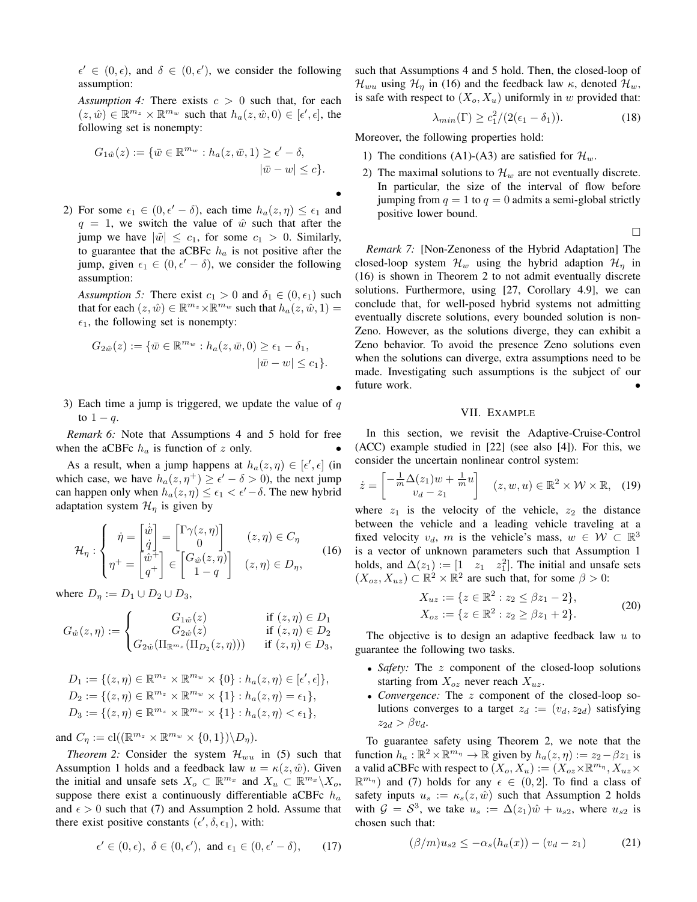$\epsilon' \in (0, \epsilon)$ , and  $\delta \in (0, \epsilon')$ , we consider the following assumption:

Assumption 4: There exists  $c > 0$  such that, for each  $(z, \hat{w}) \in \mathbb{R}^{m_z} \times \mathbb{R}^{m_w}$  such that  $h_a(z, \hat{w}, 0) \in [\epsilon', \epsilon]$ , the following set is nonempty:

$$
G_{1\hat{w}}(z) := \{ \bar{w} \in \mathbb{R}^{m_w} : h_a(z, \bar{w}, 1) \ge \epsilon' - \delta,
$$
  

$$
|\bar{w} - w| \le c \}.
$$

2) For some  $\epsilon_1 \in (0, \epsilon' - \delta)$ , each time  $h_a(z, \eta) \leq \epsilon_1$  and  $q = 1$ , we switch the value of  $\hat{w}$  such that after the jump we have  $|\tilde{w}| \leq c_1$ , for some  $c_1 > 0$ . Similarly, to guarantee that the aCBFc  $h_a$  is not positive after the jump, given  $\epsilon_1 \in (0, \epsilon' - \delta)$ , we consider the following assumption:

Assumption 5: There exist  $c_1 > 0$  and  $\delta_1 \in (0, \epsilon_1)$  such that for each  $(z, \hat{w}) \in \mathbb{R}^{m_z} \times \mathbb{R}^{m_w}$  such that  $h_a(z, \hat{w}, 1) =$  $\epsilon_1$ , the following set is nonempty:

$$
G_{2\hat{w}}(z) := \{ \overline{w} \in \mathbb{R}^{m_w} : h_a(z, \overline{w}, 0) \ge \epsilon_1 - \delta_1, |\overline{w} - w| \le c_1 \}.
$$

3) Each time a jump is triggered, we update the value of  $q$ to  $1-q$ .

*Remark 6:* Note that Assumptions 4 and 5 hold for free when the aCBFc  $h_a$  is function of z only.

As a result, when a jump happens at  $h_a(z, \eta) \in [\epsilon', \epsilon]$  (in which case, we have  $h_a(z, \eta^+) \geq \epsilon' - \delta > 0$ , the next jump can happen only when  $h_a(z, \eta) \leq \epsilon_1 < \epsilon' - \delta$ . The new hybrid adaptation system  $\mathcal{H}_{\eta}$  is given by

$$
\mathcal{H}_{\eta} : \begin{cases} \dot{\eta} = \begin{bmatrix} \dot{\hat{w}} \\ \dot{q} \end{bmatrix} = \begin{bmatrix} \Gamma \gamma(z, \eta) \\ 0 \end{bmatrix} & (z, \eta) \in C_{\eta} \\ \eta^{+} = \begin{bmatrix} \hat{w}^{+} \\ q^{+} \end{bmatrix} \in \begin{bmatrix} G_{\hat{w}}(z, \eta) \\ 1 - q \end{bmatrix} & (z, \eta) \in D_{\eta}, \end{cases}
$$
(16)

where  $D_n := D_1 \cup D_2 \cup D_3$ ,

$$
G_{\hat{w}}(z,\eta) := \begin{cases} G_{1\hat{w}}(z) & \text{if } (z,\eta) \in D_1 \\ G_{2\hat{w}}(z) & \text{if } (z,\eta) \in D_2 \\ G_{2\hat{w}}(\Pi_{\mathbb{R}^{m_z}}(\Pi_{D_2}(z,\eta))) & \text{if } (z,\eta) \in D_3, \end{cases}
$$

$$
D_1 := \{ (z, \eta) \in \mathbb{R}^{m_z} \times \mathbb{R}^{m_w} \times \{0\} : h_a(z, \eta) \in [\epsilon', \epsilon] \},
$$
  
\n
$$
D_2 := \{ (z, \eta) \in \mathbb{R}^{m_z} \times \mathbb{R}^{m_w} \times \{1\} : h_a(z, \eta) = \epsilon_1 \},
$$
  
\n
$$
D_3 := \{ (z, \eta) \in \mathbb{R}^{m_z} \times \mathbb{R}^{m_w} \times \{1\} : h_a(z, \eta) < \epsilon_1 \},
$$

and  $C_n := \text{cl}((\mathbb{R}^{m_z} \times \mathbb{R}^{m_w} \times \{0,1\}) \backslash D_n).$ 

*Theorem 2:* Consider the system  $\mathcal{H}_{wu}$  in (5) such that Assumption 1 holds and a feedback law  $u = \kappa(z, \hat{w})$ . Given the initial and unsafe sets  $X_o \subset \mathbb{R}^{m_x}$  and  $X_u \subset \mathbb{R}^{m_x} \backslash X_o$ , suppose there exist a continuously differentiable aCBFc  $h_a$ and  $\epsilon > 0$  such that (7) and Assumption 2 hold. Assume that there exist positive constants ( $\epsilon'$ ,  $\delta$ ,  $\epsilon_1$ ), with:

$$
\epsilon' \in (0, \epsilon), \ \delta \in (0, \epsilon'), \text{ and } \epsilon_1 \in (0, \epsilon' - \delta), \qquad (17)
$$

such that Assumptions 4 and 5 hold. Then, the closed-loop of  $\mathcal{H}_{wu}$  using  $\mathcal{H}_{\eta}$  in (16) and the feedback law  $\kappa$ , denoted  $\mathcal{H}_{w}$ , is safe with respect to  $(X_o, X_u)$  uniformly in w provided that:

$$
\lambda_{min}(\Gamma) \ge c_1^2/(2(\epsilon_1 - \delta_1)).\tag{18}
$$

Moreover, the following properties hold:

- 1) The conditions (A1)-(A3) are satisfied for  $\mathcal{H}_w$ .
- 2) The maximal solutions to  $\mathcal{H}_w$  are not eventually discrete. In particular, the size of the interval of flow before jumping from  $q = 1$  to  $q = 0$  admits a semi-global strictly positive lower bound.

 $\Box$ 

Remark 7: [Non-Zenoness of the Hybrid Adaptation] The closed-loop system  $\mathcal{H}_w$  using the hybrid adaption  $\mathcal{H}_\eta$  in (16) is shown in Theorem 2 to not admit eventually discrete solutions. Furthermore, using [27, Corollary 4.9], we can conclude that, for well-posed hybrid systems not admitting eventually discrete solutions, every bounded solution is non-Zeno. However, as the solutions diverge, they can exhibit a Zeno behavior. To avoid the presence Zeno solutions even when the solutions can diverge, extra assumptions need to be made. Investigating such assumptions is the subject of our future work.

# VII. EXAMPLE

In this section, we revisit the Adaptive-Cruise-Control  $(ACC)$  example studied in  $[22]$  (see also  $[4]$ ). For this, we consider the uncertain nonlinear control system:

$$
\dot{z} = \begin{bmatrix} -\frac{1}{m}\Delta(z_1)w + \frac{1}{m}u \\ v_d - z_1 \end{bmatrix} \quad (z, w, u) \in \mathbb{R}^2 \times \mathcal{W} \times \mathbb{R}, \quad (19)
$$

where  $z_1$  is the velocity of the vehicle,  $z_2$  the distance between the vehicle and a leading vehicle traveling at a fixed velocity  $v_d$ , m is the vehicle's mass,  $w \in \mathcal{W} \subset \mathbb{R}^3$ is a vector of unknown parameters such that Assumption 1 holds, and  $\Delta(z_1) := \begin{bmatrix} 1 & z_1 & z_1^2 \end{bmatrix}$ . The initial and unsafe sets  $(X_{oz}, X_{uz}) \subset \mathbb{R}^2 \times \mathbb{R}^2$  are such that, for some  $\beta > 0$ :

$$
X_{uz} := \{ z \in \mathbb{R}^2 : z_2 \le \beta z_1 - 2 \},
$$
  
\n
$$
X_{oz} := \{ z \in \mathbb{R}^2 : z_2 \ge \beta z_1 + 2 \}.
$$
\n(20)

The objective is to design an adaptive feedback law  $u$  to guarantee the following two tasks.

- Safety: The  $z$  component of the closed-loop solutions starting from  $X_{oz}$  never reach  $X_{uz}$ .
- Convergence: The z component of the closed-loop solutions converges to a target  $z_d := (v_d, z_{2d})$  satisfying  $z_{2d} > \beta v_d.$

To guarantee safety using Theorem 2, we note that the function  $h_a : \mathbb{R}^2 \times \mathbb{R}^{m_{\eta}} \to \mathbb{R}$  given by  $h_a(z, \eta) := z_2 - \beta z_1$  is a valid aCBFc with respect to  $(X_o, X_u) := (X_{oz} \times \mathbb{R}^{m_{\eta}}, X_{uz} \times$  $\mathbb{R}^{m_{\eta}}$  and (7) holds for any  $\epsilon \in (0,2]$ . To find a class of safety inputs  $u_s := \kappa_s(z, \hat{w})$  such that Assumption 2 holds with  $\mathcal{G} = \mathcal{S}^3$ , we take  $u_s := \Delta(z_1)\hat{w} + u_{s2}$ , where  $u_{s2}$  is chosen such that:

$$
(\beta/m)u_{s2} \le -\alpha_s(h_a(x)) - (v_d - z_1)
$$
 (21)